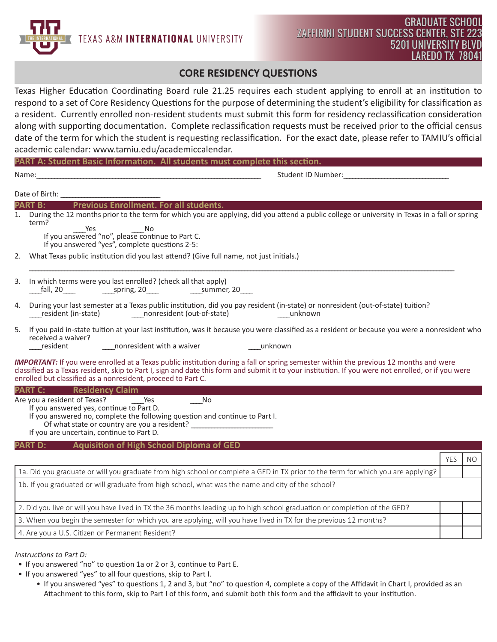TEXAS A&M INTERNATIONAL UNIVERSITY

## **CORE RESIDENCY QUESTIONS**

Texas Higher Education Coordinating Board rule 21.25 requires each student applying to enroll at an institution to respond to a set of Core Residency Questions for the purpose of determining the student's eligibility for classification as a resident. Currently enrolled non-resident students must submit this form for residency reclassification consideration along with supporting documentation. Complete reclassification requests must be received prior to the official census date of the term for which the student is requesting reclassification. For the exact date, please refer to TAMIU's official academic calendar: www.tamiu.edu/academiccalendar.

|    | Name:                                                                                                                                                                                                                                                                                                                                                               |            |           |  |
|----|---------------------------------------------------------------------------------------------------------------------------------------------------------------------------------------------------------------------------------------------------------------------------------------------------------------------------------------------------------------------|------------|-----------|--|
|    | Date of Birth:                                                                                                                                                                                                                                                                                                                                                      |            |           |  |
|    | Previous Enrollment. For all students.<br><b>PART B:</b>                                                                                                                                                                                                                                                                                                            |            |           |  |
| 1. | During the 12 months prior to the term for which you are applying, did you attend a public college or university in Texas in a fall or spring<br>term?<br>Yes<br><b>No</b><br>If you answered "yes", complete questions 2-5:                                                                                                                                        |            |           |  |
| 2. | What Texas public institution did you last attend? (Give full name, not just initials.)                                                                                                                                                                                                                                                                             |            |           |  |
| 3. | In which terms were you last enrolled? (check all that apply)                                                                                                                                                                                                                                                                                                       |            |           |  |
| 4. | During your last semester at a Texas public institution, did you pay resident (in-state) or nonresident (out-of-state) tuition?                                                                                                                                                                                                                                     |            |           |  |
| 5. | If you paid in-state tuition at your last institution, was it because you were classified as a resident or because you were a nonresident who<br>received a waiver?<br>resident<br>nonresident with a waiver<br>unknown                                                                                                                                             |            |           |  |
|    | <b>IMPORTANT:</b> If you were enrolled at a Texas public institution during a fall or spring semester within the previous 12 months and were<br>classified as a Texas resident, skip to Part I, sign and date this form and submit it to your institution. If you were not enrolled, or if you were<br>enrolled but classified as a nonresident, proceed to Part C. |            |           |  |
|    | <b>PART C:</b> Residency Claim                                                                                                                                                                                                                                                                                                                                      |            |           |  |
|    | Are you a resident of Texas?<br>$\overline{\phantom{0}}$ No<br>Yes<br>If you answered yes, continue to Part D.<br>If you answered no, complete the following question and continue to Part I.<br>Of what state or country are you a resident?<br>If you are uncertain, continue to Part D.                                                                          |            |           |  |
|    | <b>Aquisition of High School Diploma of GED</b><br><b>PART D:</b>                                                                                                                                                                                                                                                                                                   |            |           |  |
|    |                                                                                                                                                                                                                                                                                                                                                                     | <b>YES</b> | <b>NO</b> |  |
|    | 1a. Did you graduate or will you graduate from high school or complete a GED in TX prior to the term for which you are applying?                                                                                                                                                                                                                                    |            |           |  |
|    | 1b. If you graduated or will graduate from high school, what was the name and city of the school?                                                                                                                                                                                                                                                                   |            |           |  |
|    | 2. Did you live or will you have lived in TX the 36 months leading up to high school graduation or completion of the GED?                                                                                                                                                                                                                                           |            |           |  |
|    | 3. When you begin the semester for which you are applying, will you have lived in TX for the previous 12 months?                                                                                                                                                                                                                                                    |            |           |  |
|    | 4. Are you a U.S. Citizen or Permanent Resident?                                                                                                                                                                                                                                                                                                                    |            |           |  |

- If you answered "no" to question 1a or 2 or 3, continue to Part E.
- If you answered "yes" to all four questions, skip to Part I.
	- If you answered "yes" to questions 1, 2 and 3, but "no" to question 4, complete a copy of the Affidavit in Chart I, provided as an Attachment to this form, skip to Part I of this form, and submit both this form and the affidavit to your institution.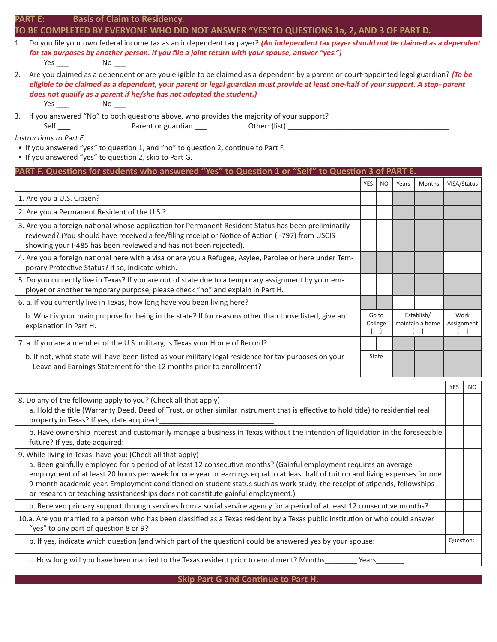| PART E: |  | <b>Basis of Claim to Residency.</b> |
|---------|--|-------------------------------------|
|---------|--|-------------------------------------|

### **TO BE COMPLETED BY EVERYONE WHO DID NOT ANSWER "YES"TO QUESTIONS 1a, 2, AND 3 OF PART D.**

| 1. Do you file your own federal income tax as an independent tax payer? (An independent tax payer should not be claimed as a dependent |
|----------------------------------------------------------------------------------------------------------------------------------------|
| for tax purposes by another person. If you file a joint return with your spouse, answer "yes.")                                        |

Yes \_\_\_\_\_ No \_\_\_\_

2. Are you claimed as a dependent or are you eligible to be claimed as a dependent by a parent or court-appointed legal guardian? **(To be eligible to be claimed as a dependent, your parent or legal guardian must provide at least one-half of your support. A step- parent does not qualify as a parent if he/she has not adopted the student.)**

Yes No No

3. If you answered "No" to both questions above, who provides the majority of your support?

Self \_\_\_\_ Parent or guardian \_\_\_\_ Other: (list) \_\_\_\_\_\_\_\_\_

Instructions to Part E.

- If you answered "yes" to question 1, and "no" to question 2, continue to Part F.
- If you answered "yes" to question 2, skip to Part G.

| PART F. Questions for students who answered "Yes" to Question 1 or "Self" to Question 3 of PART E.                                                                                                                                                                          |                                                   |     |       |                    |             |                |
|-----------------------------------------------------------------------------------------------------------------------------------------------------------------------------------------------------------------------------------------------------------------------------|---------------------------------------------------|-----|-------|--------------------|-------------|----------------|
|                                                                                                                                                                                                                                                                             | YES                                               | NO. | Years | Months             | VISA/Status |                |
| 1. Are you a U.S. Citizen?                                                                                                                                                                                                                                                  |                                                   |     |       |                    |             |                |
| 2. Are you a Permanent Resident of the U.S.?                                                                                                                                                                                                                                |                                                   |     |       |                    |             |                |
| 3. Are you a foreign national whose application for Permanent Resident Status has been preliminarily<br>reviewed? (You should have received a fee/filing receipt or Notice of Action (I-797) from USCIS<br>showing your I-485 has been reviewed and has not been rejected). |                                                   |     |       |                    |             |                |
| 4. Are you a foreign national here with a visa or are you a Refugee, Asylee, Parolee or here under Tem-<br>porary Protective Status? If so, indicate which.                                                                                                                 |                                                   |     |       |                    |             |                |
| 5. Do you currently live in Texas? If you are out of state due to a temporary assignment by your em-<br>ployer or another temporary purpose, please check "no" and explain in Part H.                                                                                       |                                                   |     |       |                    |             |                |
| 6. a. If you currently live in Texas, how long have you been living here?                                                                                                                                                                                                   |                                                   |     |       |                    |             |                |
| b. What is your main purpose for being in the state? If for reasons other than those listed, give an<br>explanation in Part H.                                                                                                                                              | Establish/<br>Go to<br>maintain a home<br>College |     |       | Work<br>Assignment |             |                |
| 7. a. If you are a member of the U.S. military, is Texas your Home of Record?                                                                                                                                                                                               |                                                   |     |       |                    |             |                |
| b. If not, what state will have been listed as your military legal residence for tax purposes on your<br>Leave and Earnings Statement for the 12 months prior to enrollment?                                                                                                | State                                             |     |       |                    |             |                |
|                                                                                                                                                                                                                                                                             |                                                   |     |       |                    | <b>YES</b>  | N <sub>O</sub> |
|                                                                                                                                                                                                                                                                             |                                                   |     |       |                    |             |                |

| 8. Do any of the following apply to you? (Check all that apply)<br>a. Hold the title (Warranty Deed, Deed of Trust, or other similar instrument that is effective to hold title) to residential real<br>property in Texas? If yes, date acquired:                                                                                                                                                                                                                                                                                   |           |  |
|-------------------------------------------------------------------------------------------------------------------------------------------------------------------------------------------------------------------------------------------------------------------------------------------------------------------------------------------------------------------------------------------------------------------------------------------------------------------------------------------------------------------------------------|-----------|--|
| b. Have ownership interest and customarily manage a business in Texas without the intention of liquidation in the foreseeable<br>future? If yes, date acquired:                                                                                                                                                                                                                                                                                                                                                                     |           |  |
| 9. While living in Texas, have you: (Check all that apply)<br>a. Been gainfully employed for a period of at least 12 consecutive months? (Gainful employment requires an average<br>employment of at least 20 hours per week for one year or earnings equal to at least half of tuition and living expenses for one<br>9-month academic year. Employment conditioned on student status such as work-study, the receipt of stipends, fellowships<br>or research or teaching assistanceships does not constitute gainful employment.) |           |  |
| b. Received primary support through services from a social service agency for a period of at least 12 consecutive months?                                                                                                                                                                                                                                                                                                                                                                                                           |           |  |
| 10.a. Are you married to a person who has been classified as a Texas resident by a Texas public institution or who could answer<br>"yes" to any part of question 8 or 9?                                                                                                                                                                                                                                                                                                                                                            |           |  |
| b. If yes, indicate which question (and which part of the question) could be answered yes by your spouse:                                                                                                                                                                                                                                                                                                                                                                                                                           | Question: |  |
| c. How long will you have been married to the Texas resident prior to enrollment? Months<br>Years                                                                                                                                                                                                                                                                                                                                                                                                                                   |           |  |

**Skip Part G and Continue to Part H.**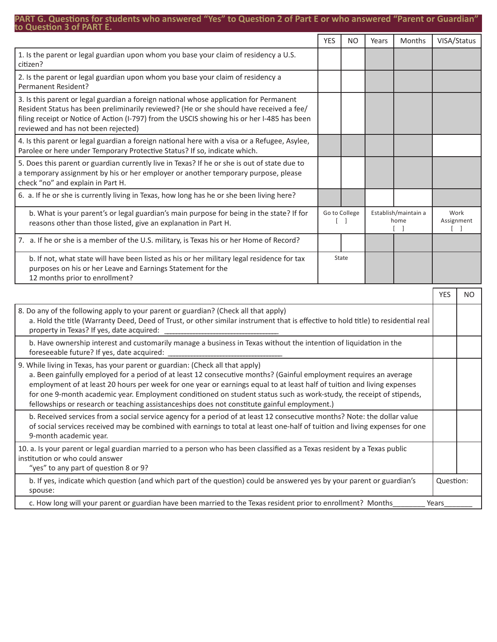#### **PART G. Questions for students who answered "Yes" to Question 2 of Part E or who answered "Parent or Guardian" to Question 3 of PART E.**

| וט עשכאנוטוו ט טו ראוזו ב                                                                                                                                                                                                                                                                                                                                                                                                                                                                                                                              |            |                         |                                    |           |             |     |  |  |  |                              |
|--------------------------------------------------------------------------------------------------------------------------------------------------------------------------------------------------------------------------------------------------------------------------------------------------------------------------------------------------------------------------------------------------------------------------------------------------------------------------------------------------------------------------------------------------------|------------|-------------------------|------------------------------------|-----------|-------------|-----|--|--|--|------------------------------|
|                                                                                                                                                                                                                                                                                                                                                                                                                                                                                                                                                        | <b>YES</b> | <b>NO</b>               | Years                              | Months    | VISA/Status |     |  |  |  |                              |
| 1. Is the parent or legal guardian upon whom you base your claim of residency a U.S.<br>citizen?                                                                                                                                                                                                                                                                                                                                                                                                                                                       |            |                         |                                    |           |             |     |  |  |  |                              |
| 2. Is the parent or legal guardian upon whom you base your claim of residency a<br>Permanent Resident?                                                                                                                                                                                                                                                                                                                                                                                                                                                 |            |                         |                                    |           |             |     |  |  |  |                              |
| 3. Is this parent or legal guardian a foreign national whose application for Permanent<br>Resident Status has been preliminarily reviewed? (He or she should have received a fee/<br>filing receipt or Notice of Action (I-797) from the USCIS showing his or her I-485 has been<br>reviewed and has not been rejected)                                                                                                                                                                                                                                |            |                         |                                    |           |             |     |  |  |  |                              |
| 4. Is this parent or legal guardian a foreign national here with a visa or a Refugee, Asylee,<br>Parolee or here under Temporary Protective Status? If so, indicate which.                                                                                                                                                                                                                                                                                                                                                                             |            |                         |                                    |           |             |     |  |  |  |                              |
| 5. Does this parent or guardian currently live in Texas? If he or she is out of state due to<br>a temporary assignment by his or her employer or another temporary purpose, please<br>check "no" and explain in Part H.                                                                                                                                                                                                                                                                                                                                |            |                         |                                    |           |             |     |  |  |  |                              |
| 6. a. If he or she is currently living in Texas, how long has he or she been living here?                                                                                                                                                                                                                                                                                                                                                                                                                                                              |            |                         |                                    |           |             |     |  |  |  |                              |
| b. What is your parent's or legal guardian's main purpose for being in the state? If for<br>reasons other than those listed, give an explanation in Part H.                                                                                                                                                                                                                                                                                                                                                                                            |            | Go to College<br>$\Box$ | Establish/maintain a<br>home<br>-1 |           |             |     |  |  |  | Work<br>Assignment<br>$\Box$ |
| 7. a. If he or she is a member of the U.S. military, is Texas his or her Home of Record?                                                                                                                                                                                                                                                                                                                                                                                                                                                               |            |                         |                                    |           |             |     |  |  |  |                              |
| b. If not, what state will have been listed as his or her military legal residence for tax<br>purposes on his or her Leave and Earnings Statement for the<br>12 months prior to enrollment?                                                                                                                                                                                                                                                                                                                                                            |            | State                   |                                    |           |             |     |  |  |  |                              |
|                                                                                                                                                                                                                                                                                                                                                                                                                                                                                                                                                        |            |                         |                                    |           |             | NO. |  |  |  |                              |
| 8. Do any of the following apply to your parent or guardian? (Check all that apply)<br>a. Hold the title (Warranty Deed, Deed of Trust, or other similar instrument that is effective to hold title) to residential real<br>property in Texas? If yes, date acquired:                                                                                                                                                                                                                                                                                  |            |                         |                                    |           |             |     |  |  |  |                              |
| b. Have ownership interest and customarily manage a business in Texas without the intention of liquidation in the<br>foreseeable future? If yes, date acquired:                                                                                                                                                                                                                                                                                                                                                                                        |            |                         |                                    |           |             |     |  |  |  |                              |
| 9. While living in Texas, has your parent or guardian: (Check all that apply)<br>a. Been gainfully employed for a period of at least 12 consecutive months? (Gainful employment requires an average<br>employment of at least 20 hours per week for one year or earnings equal to at least half of tuition and living expenses<br>for one 9-month academic year. Employment conditioned on student status such as work-study, the receipt of stipends,<br>fellowships or research or teaching assistanceships does not constitute gainful employment.) |            |                         |                                    |           |             |     |  |  |  |                              |
| b. Received services from a social service agency for a period of at least 12 consecutive months? Note: the dollar value<br>of social services received may be combined with earnings to total at least one-half of tuition and living expenses for one<br>9-month academic year.                                                                                                                                                                                                                                                                      |            |                         |                                    |           |             |     |  |  |  |                              |
| 10. a. Is your parent or legal guardian married to a person who has been classified as a Texas resident by a Texas public<br>institution or who could answer<br>"yes" to any part of question 8 or 9?                                                                                                                                                                                                                                                                                                                                                  |            |                         |                                    |           |             |     |  |  |  |                              |
| b. If yes, indicate which question (and which part of the question) could be answered yes by your parent or guardian's<br>spouse:                                                                                                                                                                                                                                                                                                                                                                                                                      |            |                         |                                    | Question: |             |     |  |  |  |                              |
| c. How long will your parent or guardian have been married to the Texas resident prior to enrollment? Months<br>Years                                                                                                                                                                                                                                                                                                                                                                                                                                  |            |                         |                                    |           |             |     |  |  |  |                              |